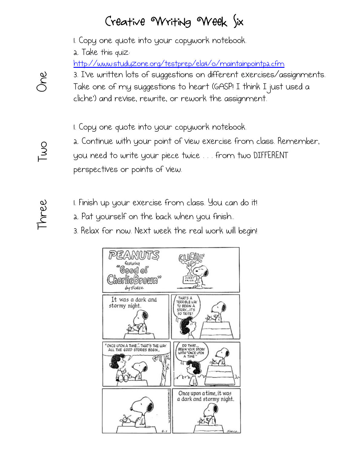## Creative Writing Week Six

1. Copy one quote into your copywork notebook.

2. Take this quiz:

http://www.studyzone.org/testprep/ela4/o/maintainpointp2.cfm

3. I've written lots of suggestions on different exercises/assignments. Take one of my suggestions to heart (GASP! I think I just used a cliche') and revise, rewrite, or rework the assignment.

1. Copy one quote into your copywork notebook.

2. Continue with your point of view exercise from class. Remember,

you need to write your piece twice . . . from two DIFFERENT perspectives or points of view.

1. Finish up your exercise from class. You can do it!

2. Pat yourself on the back when you finish..

3. Relax for now. Next week the real work will begin!



## One Two 9<br>NC

 $\overline{L}$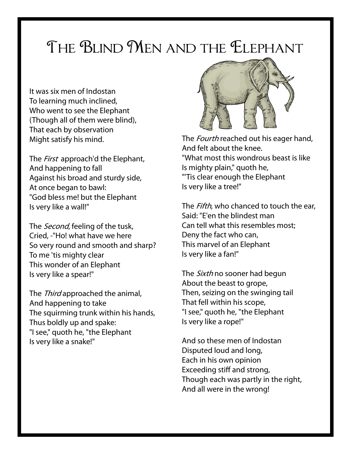## THE BLIND MEN AND THE ELEPHANT

It was six men of Indostan To learning much inclined, Who went to see the Elephant (Though all of them were blind), That each by observation Might satisfy his mind.

The *First* approach'd the Elephant, And happening to fall Against his broad and sturdy side, At once began to bawl: "God bless me! but the Elephant Is very like a wall!"

The *Second*, feeling of the tusk, Cried, -"Ho! what have we here So very round and smooth and sharp? To me 'tis mighty clear This wonder of an Elephant Is very like a spear!"

The *Third* approached the animal, And happening to take The squirming trunk within his hands, Thus boldly up and spake: "I see," quoth he, "the Elephant Is very like a snake!"



The *Fourth* reached out his eager hand, And felt about the knee. "What most this wondrous beast is like Is mighty plain," quoth he, "'Tis clear enough the Elephant Is very like a tree!"

The *Fifth*, who chanced to touch the ear, Said: "E'en the blindest man Can tell what this resembles most; Deny the fact who can, This marvel of an Elephant Is very like a fan!"

The *Sixth* no sooner had begun About the beast to grope, Then, seizing on the swinging tail That fell within his scope, "I see," quoth he, "the Elephant Is very like a rope!"

And so these men of Indostan Disputed loud and long, Each in his own opinion Exceeding stiff and strong, Though each was partly in the right, And all were in the wrong!